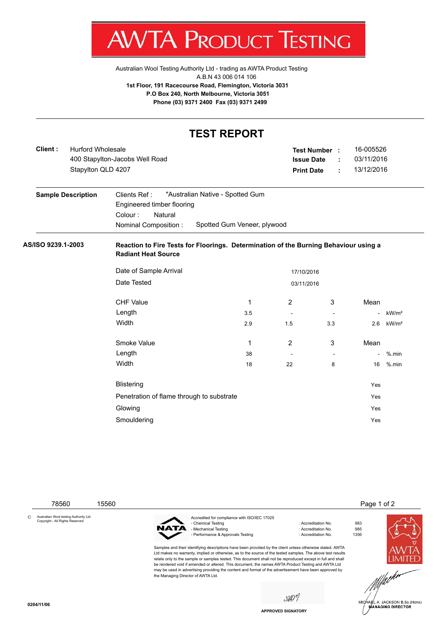

Australian Wool Testing Authority Ltd - trading as AWTA Product Testing A.B.N 43 006 014 106 **1st Floor, 191 Racecourse Road, Flemington, Victoria 3031 P.O Box 240, North Melbourne, Victoria 3051 Phone (03) 9371 2400 Fax (03) 9371 2499**

## **TEST REPORT**

| Client:            | <b>Hurford Wholesale</b><br>Stapylton QLD 4207 | 400 Stapylton-Jacobs Well Road                                                                                                                              |     |                          | Test Number :<br><b>Issue Date</b><br><b>Print Date</b> | ÷<br>÷ | 16-005526<br>03/11/2016<br>13/12/2016 |                   |
|--------------------|------------------------------------------------|-------------------------------------------------------------------------------------------------------------------------------------------------------------|-----|--------------------------|---------------------------------------------------------|--------|---------------------------------------|-------------------|
|                    | <b>Sample Description</b>                      | "Australian Native - Spotted Gum<br>Clients Ref:<br>Engineered timber flooring<br>Colour:<br>Natural<br>Spotted Gum Veneer, plywood<br>Nominal Composition: |     |                          |                                                         |        |                                       |                   |
| AS/ISO 9239.1-2003 |                                                | Reaction to Fire Tests for Floorings. Determination of the Burning Behaviour using a<br><b>Radiant Heat Source</b>                                          |     |                          |                                                         |        |                                       |                   |
|                    |                                                | Date of Sample Arrival<br>17/10/2016                                                                                                                        |     |                          |                                                         |        |                                       |                   |
|                    |                                                | Date Tested<br>03/11/2016                                                                                                                                   |     |                          |                                                         |        |                                       |                   |
|                    |                                                | <b>CHF Value</b>                                                                                                                                            | 1   | 2                        | 3                                                       |        | Mean                                  |                   |
|                    |                                                | Length                                                                                                                                                      | 3.5 | $\overline{\phantom{a}}$ | $\overline{\phantom{a}}$                                |        |                                       | kW/m <sup>2</sup> |
|                    |                                                | Width                                                                                                                                                       | 2.9 | 1.5                      | 3.3                                                     |        | 2.6                                   | kW/m <sup>2</sup> |
|                    |                                                | Smoke Value                                                                                                                                                 | 1   | $\overline{2}$           | 3                                                       |        | Mean                                  |                   |
|                    |                                                | Length                                                                                                                                                      | 38  |                          | $\sim$                                                  |        | $\blacksquare$                        | $%$ .min          |
|                    |                                                | Width                                                                                                                                                       | 18  | 22                       | 8                                                       |        | 16                                    | $%$ .min          |
|                    |                                                | <b>Blistering</b>                                                                                                                                           |     |                          |                                                         |        | Yes                                   |                   |
|                    |                                                | Penetration of flame through to substrate                                                                                                                   |     |                          |                                                         |        | Yes                                   |                   |
|                    |                                                | Glowing                                                                                                                                                     |     |                          |                                                         |        | Yes                                   |                   |
|                    |                                                | Smouldering                                                                                                                                                 |     |                          |                                                         |        | Yes                                   |                   |

78560 15560 15560 15560 15560 15560 15560 15560 15560 15560 15560 15560 15560 15560 15560 15560 15560 15560 15560 15560 15560 15560 15560 15560 15560 15560 15560 15560 15560 15560 15560 15560 15560 15560 15560 15560 15560 © Australian Wool testing Authority Ltd Copyright - All Rights Reserved Accredited for compliance with ISO/IEC 17025 - Chemical Testing Chemical Testing Chemical Testing Chemical Testing Chemical Chemical Testing Chemical Chemi<br>- Accreditation No. 985 NAT Mechanical Testing - Performance & Approvals Testing in the matrix of the contract of Accreditation No. 1356 Samples and their identifying descriptions have been provided by the client unless otherwise stated. AWTA Ltd makes no warranty, implied or otherwise, as to the source of the tested samples. The above test results relate only to the sample or samples tested. This document shall not be reproduced except in full and shall be rendered void if amended or altered. This document, the names AWTA Product Testing and AWTA Ltd may be used in advertising providing the content and format of the advertisement have been approved by the Managing Director of AWTA Ltd.saon HARL A. JACKSON B.Sc.(Hons)<br>MANAGING DIRECTOR

**APPROVED SIGNATORY**

**0204/11/06**